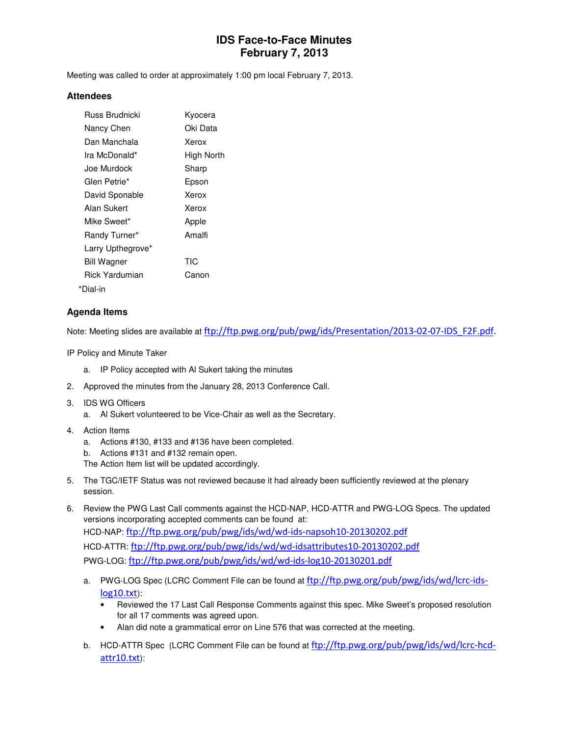# **IDS Face-to-Face Minutes February 7, 2013**

Meeting was called to order at approximately 1:00 pm local February 7, 2013.

#### **Attendees**

| <b>Russ Brudnicki</b> | Kyocera    |
|-----------------------|------------|
| Nancy Chen            | Oki Data   |
| Dan Manchala          | Xerox      |
| Ira McDonald*         | High North |
| Joe Murdock           | Sharp      |
| Glen Petrie*          | Epson      |
| David Sponable        | Xerox      |
| Alan Sukert           | Xerox      |
| Mike Sweet*           | Apple      |
| Randy Turner*         | Amalfi     |
| Larry Upthegrove*     |            |
| <b>Bill Wagner</b>    | TIC        |
| <b>Rick Yardumian</b> | Canon      |
| *Dial-in              |            |

### **Agenda Items**

Note: Meeting slides are available at ftp://ftp.pwg.org/pub/pwg/ids/Presentation/2013-02-07-IDS\_F2F.pdf.

IP Policy and Minute Taker

- a. IP Policy accepted with Al Sukert taking the minutes
- 2. Approved the minutes from the January 28, 2013 Conference Call.
- 3. IDS WG Officers
	- a. Al Sukert volunteered to be Vice-Chair as well as the Secretary.
- 4. Action Items
	- a. Actions #130, #133 and #136 have been completed.
	- b. Actions #131 and #132 remain open.
	- The Action Item list will be updated accordingly.
- 5. The TGC/IETF Status was not reviewed because it had already been sufficiently reviewed at the plenary session.
- 6. Review the PWG Last Call comments against the HCD-NAP, HCD-ATTR and PWG-LOG Specs. The updated versions incorporating accepted comments can be found at: HCD-NAP: ftp://ftp.pwg.org/pub/pwg/ids/wd/wd-ids-napsoh10-20130202.pdf HCD-ATTR: ftp://ftp.pwg.org/pub/pwg/ids/wd/wd-idsattributes10-20130202.pdf PWG-LOG: ftp://ftp.pwg.org/pub/pwg/ids/wd/wd-ids-log10-20130201.pdf
	- a. PWG-LOG Spec (LCRC Comment File can be found at  $ftp://ftp.pwg.org/pub/pwg/ids/wd/lcrc-ids$ log10.txt):
		- Reviewed the 17 Last Call Response Comments against this spec. Mike Sweet's proposed resolution for all 17 comments was agreed upon.
		- Alan did note a grammatical error on Line 576 that was corrected at the meeting.
	- b. HCD-ATTR Spec (LCRC Comment File can be found at ftp://ftp.pwg.org/pub/pwg/ids/wd/lcrc-hcdattr10.txt):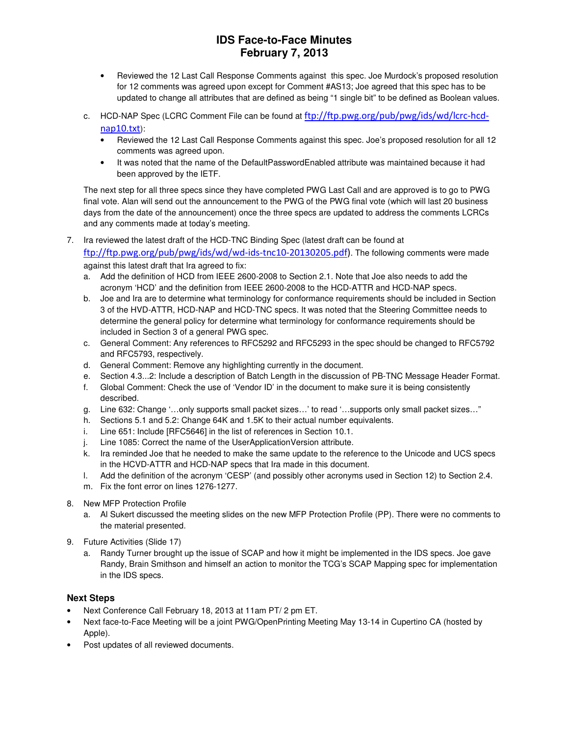# **IDS Face-to-Face Minutes February 7, 2013**

- Reviewed the 12 Last Call Response Comments against this spec. Joe Murdock's proposed resolution for 12 comments was agreed upon except for Comment #AS13; Joe agreed that this spec has to be updated to change all attributes that are defined as being "1 single bit" to be defined as Boolean values.
- c. HCD-NAP Spec (LCRC Comment File can be found at ftp://ftp.pwg.org/pub/pwg/ids/wd/lcrc-hcdnap10.txt):
	- Reviewed the 12 Last Call Response Comments against this spec. Joe's proposed resolution for all 12 comments was agreed upon.
	- It was noted that the name of the DefaultPasswordEnabled attribute was maintained because it had been approved by the IETF.

The next step for all three specs since they have completed PWG Last Call and are approved is to go to PWG final vote. Alan will send out the announcement to the PWG of the PWG final vote (which will last 20 business days from the date of the announcement) once the three specs are updated to address the comments LCRCs and any comments made at today's meeting.

- 7. Ira reviewed the latest draft of the HCD-TNC Binding Spec (latest draft can be found at ftp://ftp.pwg.org/pub/pwg/ids/wd/wd-ids-tnc10-20130205.pdf). The following comments were made against this latest draft that Ira agreed to fix:
	- a. Add the definition of HCD from IEEE 2600-2008 to Section 2.1. Note that Joe also needs to add the acronym 'HCD' and the definition from IEEE 2600-2008 to the HCD-ATTR and HCD-NAP specs.
	- b. Joe and Ira are to determine what terminology for conformance requirements should be included in Section 3 of the HVD-ATTR, HCD-NAP and HCD-TNC specs. It was noted that the Steering Committee needs to determine the general policy for determine what terminology for conformance requirements should be included in Section 3 of a general PWG spec.
	- c. General Comment: Any references to RFC5292 and RFC5293 in the spec should be changed to RFC5792 and RFC5793, respectively.
	- d. General Comment: Remove any highlighting currently in the document.
	- e. Section 4.3...2: Include a description of Batch Length in the discussion of PB-TNC Message Header Format.
	- f. Global Comment: Check the use of 'Vendor ID' in the document to make sure it is being consistently described.
	- g. Line 632: Change '…only supports small packet sizes…' to read '…supports only small packet sizes…"
	- h. Sections 5.1 and 5.2: Change 64K and 1.5K to their actual number equivalents.
	- i. Line 651: Include [RFC5646] in the list of references in Section 10.1.
	- j. Line 1085: Correct the name of the UserApplicationVersion attribute.
	- k. Ira reminded Joe that he needed to make the same update to the reference to the Unicode and UCS specs in the HCVD-ATTR and HCD-NAP specs that Ira made in this document.
	- l. Add the definition of the acronym 'CESP' (and possibly other acronyms used in Section 12) to Section 2.4.
	- m. Fix the font error on lines 1276-1277.
- 8. New MFP Protection Profile
	- a. Al Sukert discussed the meeting slides on the new MFP Protection Profile (PP). There were no comments to the material presented.
- 9. Future Activities (Slide 17)
	- a. Randy Turner brought up the issue of SCAP and how it might be implemented in the IDS specs. Joe gave Randy, Brain Smithson and himself an action to monitor the TCG's SCAP Mapping spec for implementation in the IDS specs.

#### **Next Steps**

- Next Conference Call February 18, 2013 at 11am PT/ 2 pm ET.
- Next face-to-Face Meeting will be a joint PWG/OpenPrinting Meeting May 13-14 in Cupertino CA (hosted by Apple).
- Post updates of all reviewed documents.